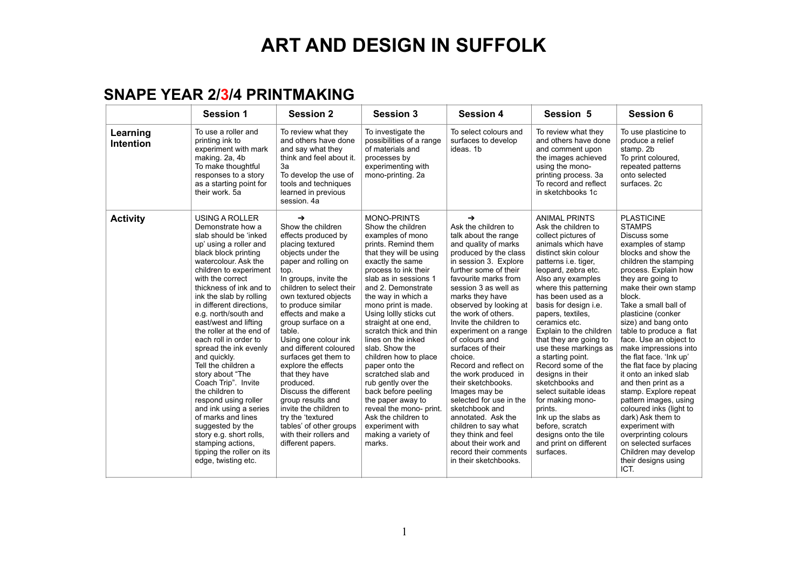#### **SNAPE YEAR 2/3/4 PRINTMAKING**

|                       | <b>Session 1</b>                                                                                                                                                                                                                                                                                                                                                                                                                                                                                                                                                                                                                                                                                                  | <b>Session 2</b>                                                                                                                                                                                                                                                                                                                                                                                                                                                                                                                                                                                   | <b>Session 3</b>                                                                                                                                                                                                                                                                                                                                                                                                                                                                                                                                                                                                     | <b>Session 4</b>                                                                                                                                                                                                                                                                                                                                                                                                                                                                                                                                                                                                                                                             | Session 5                                                                                                                                                                                                                                                                                                                                                                                                                                                                                                                                                                                                                                   | <b>Session 6</b>                                                                                                                                                                                                                                                                                                                                                                                                                                                                                                                                                                                                                                                                             |
|-----------------------|-------------------------------------------------------------------------------------------------------------------------------------------------------------------------------------------------------------------------------------------------------------------------------------------------------------------------------------------------------------------------------------------------------------------------------------------------------------------------------------------------------------------------------------------------------------------------------------------------------------------------------------------------------------------------------------------------------------------|----------------------------------------------------------------------------------------------------------------------------------------------------------------------------------------------------------------------------------------------------------------------------------------------------------------------------------------------------------------------------------------------------------------------------------------------------------------------------------------------------------------------------------------------------------------------------------------------------|----------------------------------------------------------------------------------------------------------------------------------------------------------------------------------------------------------------------------------------------------------------------------------------------------------------------------------------------------------------------------------------------------------------------------------------------------------------------------------------------------------------------------------------------------------------------------------------------------------------------|------------------------------------------------------------------------------------------------------------------------------------------------------------------------------------------------------------------------------------------------------------------------------------------------------------------------------------------------------------------------------------------------------------------------------------------------------------------------------------------------------------------------------------------------------------------------------------------------------------------------------------------------------------------------------|---------------------------------------------------------------------------------------------------------------------------------------------------------------------------------------------------------------------------------------------------------------------------------------------------------------------------------------------------------------------------------------------------------------------------------------------------------------------------------------------------------------------------------------------------------------------------------------------------------------------------------------------|----------------------------------------------------------------------------------------------------------------------------------------------------------------------------------------------------------------------------------------------------------------------------------------------------------------------------------------------------------------------------------------------------------------------------------------------------------------------------------------------------------------------------------------------------------------------------------------------------------------------------------------------------------------------------------------------|
| Learning<br>Intention | To use a roller and<br>printing ink to<br>experiment with mark<br>making. 2a, 4b<br>To make thoughtful<br>responses to a story<br>as a starting point for<br>their work, 5a                                                                                                                                                                                                                                                                                                                                                                                                                                                                                                                                       | To review what they<br>and others have done<br>and say what they<br>think and feel about it.<br>3a<br>To develop the use of<br>tools and techniques<br>learned in previous<br>session, 4a                                                                                                                                                                                                                                                                                                                                                                                                          | To investigate the<br>possibilities of a range<br>of materials and<br>processes by<br>experimenting with<br>mono-printing. 2a                                                                                                                                                                                                                                                                                                                                                                                                                                                                                        | To select colours and<br>surfaces to develop<br>ideas. 1b                                                                                                                                                                                                                                                                                                                                                                                                                                                                                                                                                                                                                    | To review what they<br>and others have done<br>and comment upon<br>the images achieved<br>using the mono-<br>printing process. 3a<br>To record and reflect<br>in sketchbooks 1c                                                                                                                                                                                                                                                                                                                                                                                                                                                             | To use plasticine to<br>produce a relief<br>stamp. 2b<br>To print coloured,<br>repeated patterns<br>onto selected<br>surfaces. 2c                                                                                                                                                                                                                                                                                                                                                                                                                                                                                                                                                            |
| <b>Activity</b>       | <b>USING A ROLLER</b><br>Demonstrate how a<br>slab should be 'inked<br>up' using a roller and<br>black block printing<br>watercolour. Ask the<br>children to experiment<br>with the correct<br>thickness of ink and to<br>ink the slab by rolling<br>in different directions,<br>e.g. north/south and<br>east/west and lifting<br>the roller at the end of<br>each roll in order to<br>spread the ink evenly<br>and quickly.<br>Tell the children a<br>story about "The<br>Coach Trip". Invite<br>the children to<br>respond using roller<br>and ink using a series<br>of marks and lines<br>suggested by the<br>story e.g. short rolls,<br>stamping actions,<br>tipping the roller on its<br>edge, twisting etc. | $\rightarrow$<br>Show the children<br>effects produced by<br>placing textured<br>objects under the<br>paper and rolling on<br>top.<br>In groups, invite the<br>children to select their<br>own textured objects<br>to produce similar<br>effects and make a<br>group surface on a<br>table.<br>Using one colour ink<br>and different coloured<br>surfaces get them to<br>explore the effects<br>that they have<br>produced.<br>Discuss the different<br>group results and<br>invite the children to<br>try the 'textured<br>tables' of other groups<br>with their rollers and<br>different papers. | <b>MONO-PRINTS</b><br>Show the children<br>examples of mono<br>prints. Remind them<br>that they will be using<br>exactly the same<br>process to ink their<br>slab as in sessions 1<br>and 2. Demonstrate<br>the way in which a<br>mono print is made.<br>Using lollly sticks cut<br>straight at one end,<br>scratch thick and thin<br>lines on the inked<br>slab. Show the<br>children how to place<br>paper onto the<br>scratched slab and<br>rub gently over the<br>back before peeling<br>the paper away to<br>reveal the mono- print.<br>Ask the children to<br>experiment with<br>making a variety of<br>marks. | $\rightarrow$<br>Ask the children to<br>talk about the range<br>and quality of marks<br>produced by the class<br>in session 3. Explore<br>further some of their<br>favourite marks from<br>session 3 as well as<br>marks they have<br>observed by looking at<br>the work of others.<br>Invite the children to<br>experiment on a range<br>of colours and<br>surfaces of their<br>choice.<br>Record and reflect on<br>the work produced in<br>their sketchbooks.<br>Images may be<br>selected for use in the<br>sketchbook and<br>annotated. Ask the<br>children to say what<br>they think and feel<br>about their work and<br>record their comments<br>in their sketchbooks. | <b>ANIMAL PRINTS</b><br>Ask the children to<br>collect pictures of<br>animals which have<br>distinct skin colour<br>patterns <i>i.e.</i> tiger,<br>leopard, zebra etc.<br>Also any examples<br>where this patterning<br>has been used as a<br>basis for design i.e.<br>papers, textiles,<br>ceramics etc.<br>Explain to the children<br>that they are going to<br>use these markings as<br>a starting point.<br>Record some of the<br>designs in their<br>sketchbooks and<br>select suitable ideas<br>for making mono-<br>prints.<br>Ink up the slabs as<br>before, scratch<br>designs onto the tile<br>and print on different<br>surfaces. | <b>PLASTICINE</b><br><b>STAMPS</b><br>Discuss some<br>examples of stamp<br>blocks and show the<br>children the stamping<br>process. Explain how<br>they are going to<br>make their own stamp<br>block.<br>Take a small ball of<br>plasticine (conker<br>size) and bang onto<br>table to produce a flat<br>face. Use an object to<br>make impressions into<br>the flat face. 'Ink up'<br>the flat face by placing<br>it onto an inked slab<br>and then print as a<br>stamp. Explore repeat<br>pattern images, using<br>coloured inks (light to<br>dark) Ask them to<br>experiment with<br>overprinting colours<br>on selected surfaces<br>Children may develop<br>their designs using<br>ICT. |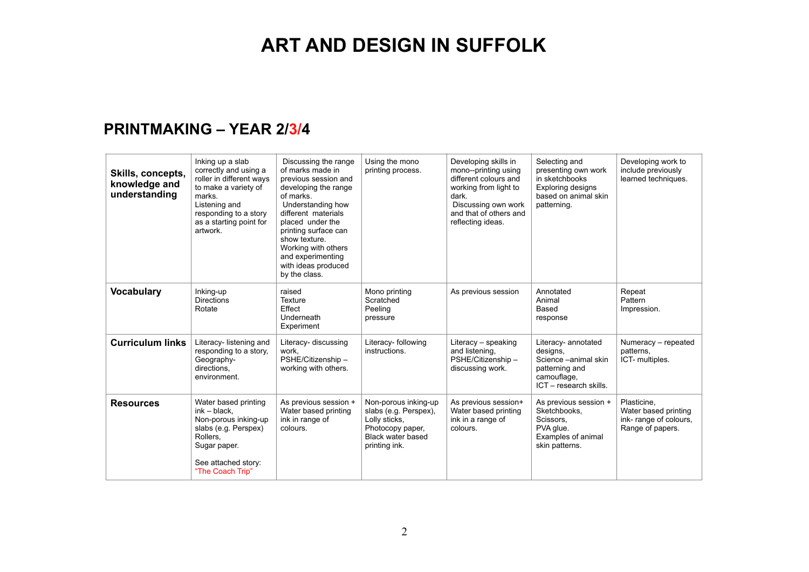#### **PRINTMAKING – YEAR 2/3/4**

| Skills, concepts,<br>knowledge and<br>understanding | Inking up a slab<br>correctly and using a<br>roller in different ways<br>to make a variety of<br>marks.<br>Listening and<br>responding to a story<br>as a starting point for<br>artwork. | Discussing the range<br>of marks made in<br>previous session and<br>developing the range<br>of marks.<br>Understanding how<br>different materials<br>placed under the<br>printing surface can<br>show texture.<br>Working with others<br>and experimenting<br>with ideas produced<br>by the class. | Using the mono<br>printing process.                                                                                      | Developing skills in<br>mono--printing using<br>different colours and<br>working from light to<br>dark.<br>Discussing own work<br>and that of others and<br>reflecting ideas. | Selecting and<br>presenting own work<br>in sketchbooks<br>Exploring designs<br>based on animal skin<br>patterning. | Developing work to<br>include previously<br>learned techniques.                  |
|-----------------------------------------------------|------------------------------------------------------------------------------------------------------------------------------------------------------------------------------------------|----------------------------------------------------------------------------------------------------------------------------------------------------------------------------------------------------------------------------------------------------------------------------------------------------|--------------------------------------------------------------------------------------------------------------------------|-------------------------------------------------------------------------------------------------------------------------------------------------------------------------------|--------------------------------------------------------------------------------------------------------------------|----------------------------------------------------------------------------------|
| <b>Vocabulary</b>                                   | Inking-up<br><b>Directions</b><br>Rotate                                                                                                                                                 | raised<br>Texture<br>Effect<br>Underneath<br>Experiment                                                                                                                                                                                                                                            | Mono printing<br>Scratched<br>Peeling<br>pressure                                                                        | As previous session                                                                                                                                                           | Annotated<br>Animal<br>Based<br>response                                                                           | Repeat<br>Pattern<br>Impression.                                                 |
| <b>Curriculum links</b>                             | Literacy- listening and<br>responding to a story,<br>Geography-<br>directions.<br>environment.                                                                                           | Literacy- discussing<br>work.<br>PSHE/Citizenship-<br>working with others.                                                                                                                                                                                                                         | Literacy- following<br>instructions.                                                                                     | Literacy - speaking<br>and listening,<br>PSHE/Citizenship -<br>discussing work.                                                                                               | Literacy- annotated<br>designs,<br>Science -animal skin<br>patterning and<br>camouflage,<br>ICT - research skills. | Numeracy - repeated<br>patterns.<br>ICT- multiples.                              |
| <b>Resources</b>                                    | Water based printing<br>$ink - black$ ,<br>Non-porous inking-up<br>slabs (e.g. Perspex)<br>Rollers,<br>Sugar paper.<br>See attached story:<br>"The Coach Trip"                           | As previous session +<br>Water based printing<br>ink in range of<br>colours.                                                                                                                                                                                                                       | Non-porous inking-up<br>slabs (e.g. Perspex),<br>Lolly sticks,<br>Photocopy paper,<br>Black water based<br>printing ink. | As previous session+<br>Water based printing<br>ink in a range of<br>colours.                                                                                                 | As previous session +<br>Sketchbooks.<br>Scissors.<br>PVA glue.<br>Examples of animal<br>skin patterns.            | Plasticine,<br>Water based printing<br>ink-range of colours,<br>Range of papers. |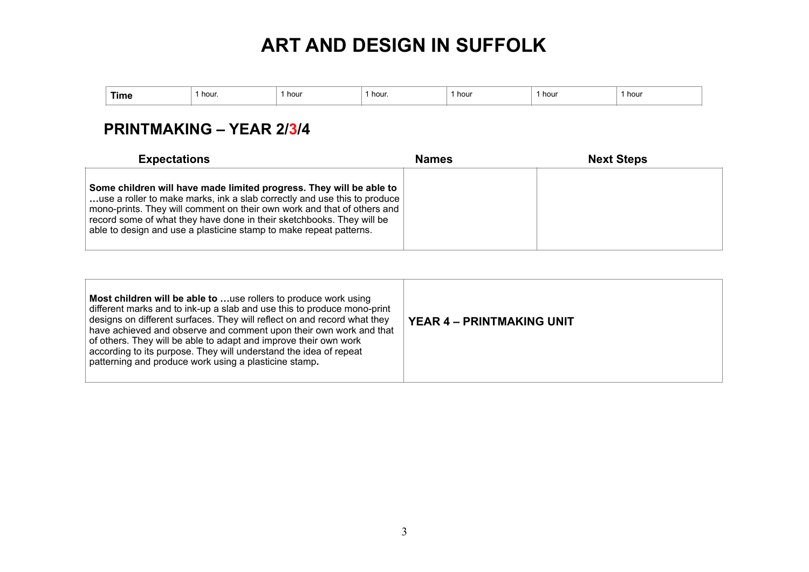| Time | hour. | hour | hour. | . hour | 1 hour | 1 hour |
|------|-------|------|-------|--------|--------|--------|
|      |       |      |       |        |        |        |

### **PRINTMAKING – YEAR 2/3/4**

| <b>Expectations</b>                                                                                                                                                                                                                                                                                                                                                       | Names | <b>Next Steps</b> |
|---------------------------------------------------------------------------------------------------------------------------------------------------------------------------------------------------------------------------------------------------------------------------------------------------------------------------------------------------------------------------|-------|-------------------|
| Some children will have made limited progress. They will be able to<br>use a roller to make marks, ink a slab correctly and use this to produce<br>mono-prints. They will comment on their own work and that of others and<br>record some of what they have done in their sketchbooks. They will be<br>able to design and use a plasticine stamp to make repeat patterns. |       |                   |

| Most children will be able to use rollers to produce work using<br>different marks and to ink-up a slab and use this to produce mono-print<br>designs on different surfaces. They will reflect on and record what they<br>have achieved and observe and comment upon their own work and that<br>of others. They will be able to adapt and improve their own work<br>according to its purpose. They will understand the idea of repeat<br>patterning and produce work using a plasticine stamp. | <b>YEAR 4 - PRINTMAKING UNIT</b> |
|------------------------------------------------------------------------------------------------------------------------------------------------------------------------------------------------------------------------------------------------------------------------------------------------------------------------------------------------------------------------------------------------------------------------------------------------------------------------------------------------|----------------------------------|
|------------------------------------------------------------------------------------------------------------------------------------------------------------------------------------------------------------------------------------------------------------------------------------------------------------------------------------------------------------------------------------------------------------------------------------------------------------------------------------------------|----------------------------------|